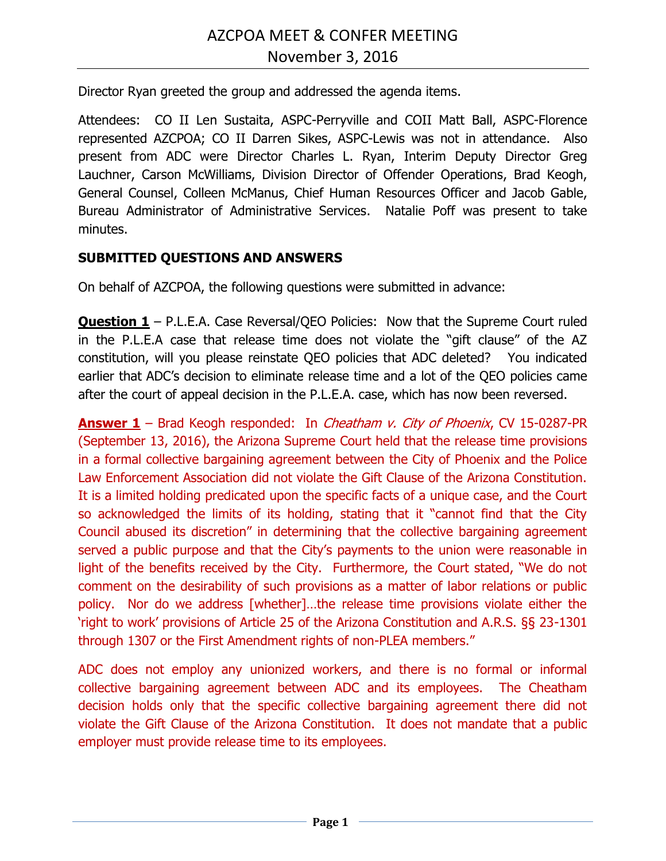Director Ryan greeted the group and addressed the agenda items.

Attendees: CO II Len Sustaita, ASPC-Perryville and COII Matt Ball, ASPC-Florence represented AZCPOA; CO II Darren Sikes, ASPC-Lewis was not in attendance. Also present from ADC were Director Charles L. Ryan, Interim Deputy Director Greg Lauchner, Carson McWilliams, Division Director of Offender Operations, Brad Keogh, General Counsel, Colleen McManus, Chief Human Resources Officer and Jacob Gable, Bureau Administrator of Administrative Services. Natalie Poff was present to take minutes.

## **SUBMITTED QUESTIONS AND ANSWERS**

On behalf of AZCPOA, the following questions were submitted in advance:

**Question 1** – P.L.E.A. Case Reversal/QEO Policies: Now that the Supreme Court ruled in the P.L.E.A case that release time does not violate the "gift clause" of the AZ constitution, will you please reinstate QEO policies that ADC deleted? You indicated earlier that ADC's decision to eliminate release time and a lot of the QEO policies came after the court of appeal decision in the P.L.E.A. case, which has now been reversed.

**Answer 1** – Brad Keogh responded: In *Cheatham v. City of Phoenix*, CV 15-0287-PR (September 13, 2016), the Arizona Supreme Court held that the release time provisions in a formal collective bargaining agreement between the City of Phoenix and the Police Law Enforcement Association did not violate the Gift Clause of the Arizona Constitution. It is a limited holding predicated upon the specific facts of a unique case, and the Court so acknowledged the limits of its holding, stating that it "cannot find that the City Council abused its discretion" in determining that the collective bargaining agreement served a public purpose and that the City's payments to the union were reasonable in light of the benefits received by the City. Furthermore, the Court stated, "We do not comment on the desirability of such provisions as a matter of labor relations or public policy. Nor do we address [whether]…the release time provisions violate either the 'right to work' provisions of Article 25 of the Arizona Constitution and A.R.S. §§ 23-1301 through 1307 or the First Amendment rights of non-PLEA members."

ADC does not employ any unionized workers, and there is no formal or informal collective bargaining agreement between ADC and its employees. The Cheatham decision holds only that the specific collective bargaining agreement there did not violate the Gift Clause of the Arizona Constitution. It does not mandate that a public employer must provide release time to its employees.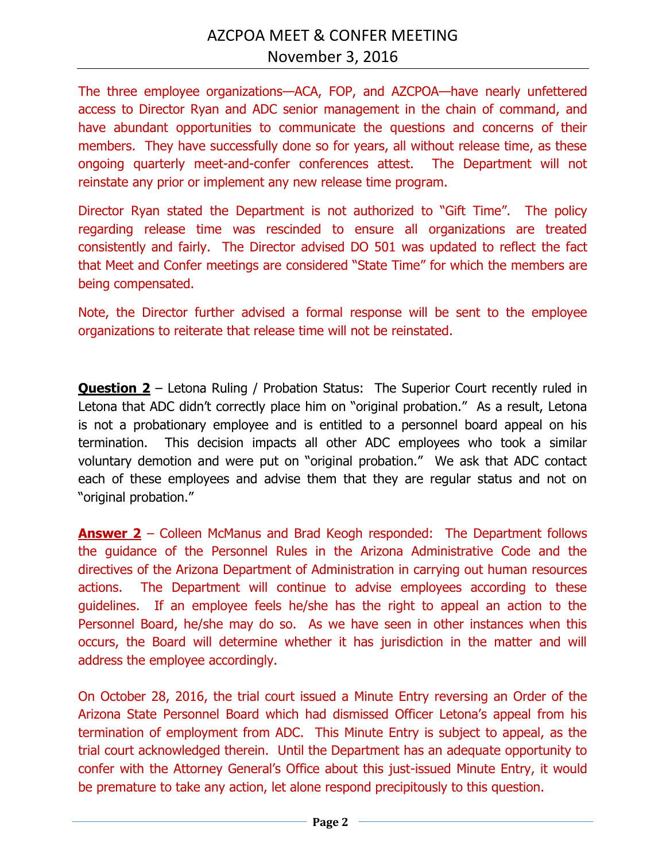The three employee organizations—ACA, FOP, and AZCPOA—have nearly unfettered access to Director Ryan and ADC senior management in the chain of command, and have abundant opportunities to communicate the questions and concerns of their members. They have successfully done so for years, all without release time, as these ongoing quarterly meet-and-confer conferences attest. The Department will not reinstate any prior or implement any new release time program.

Director Ryan stated the Department is not authorized to "Gift Time". The policy regarding release time was rescinded to ensure all organizations are treated consistently and fairly. The Director advised DO 501 was updated to reflect the fact that Meet and Confer meetings are considered "State Time" for which the members are being compensated.

Note, the Director further advised a formal response will be sent to the employee organizations to reiterate that release time will not be reinstated.

**Question 2** – Letona Ruling / Probation Status: The Superior Court recently ruled in Letona that ADC didn't correctly place him on "original probation." As a result, Letona is not a probationary employee and is entitled to a personnel board appeal on his termination. This decision impacts all other ADC employees who took a similar voluntary demotion and were put on "original probation." We ask that ADC contact each of these employees and advise them that they are regular status and not on "original probation."

**Answer 2** – Colleen McManus and Brad Keogh responded: The Department follows the guidance of the Personnel Rules in the Arizona Administrative Code and the directives of the Arizona Department of Administration in carrying out human resources actions. The Department will continue to advise employees according to these guidelines. If an employee feels he/she has the right to appeal an action to the Personnel Board, he/she may do so. As we have seen in other instances when this occurs, the Board will determine whether it has jurisdiction in the matter and will address the employee accordingly.

On October 28, 2016, the trial court issued a Minute Entry reversing an Order of the Arizona State Personnel Board which had dismissed Officer Letona's appeal from his termination of employment from ADC. This Minute Entry is subject to appeal, as the trial court acknowledged therein. Until the Department has an adequate opportunity to confer with the Attorney General's Office about this just-issued Minute Entry, it would be premature to take any action, let alone respond precipitously to this question.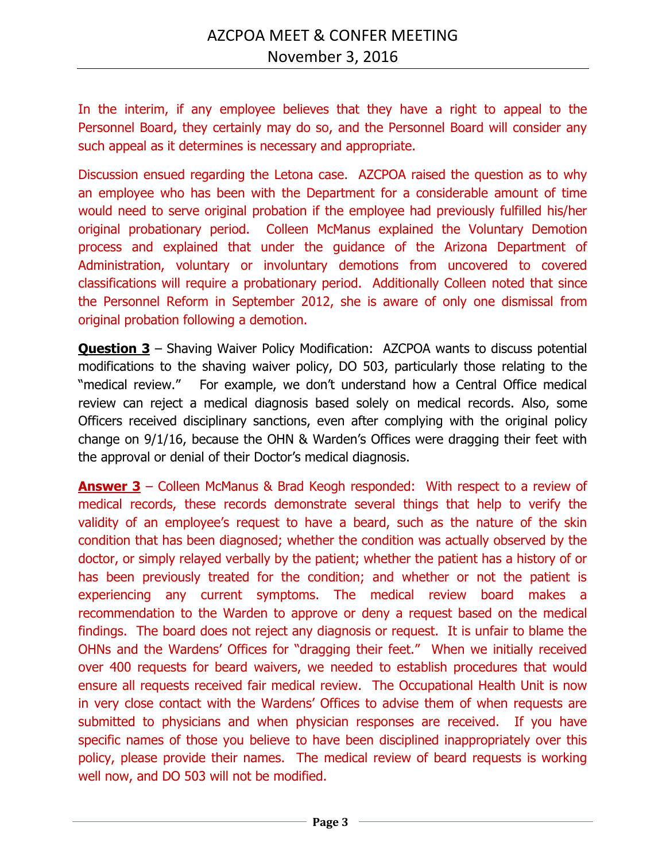In the interim, if any employee believes that they have a right to appeal to the Personnel Board, they certainly may do so, and the Personnel Board will consider any such appeal as it determines is necessary and appropriate.

Discussion ensued regarding the Letona case. AZCPOA raised the question as to why an employee who has been with the Department for a considerable amount of time would need to serve original probation if the employee had previously fulfilled his/her original probationary period. Colleen McManus explained the Voluntary Demotion process and explained that under the guidance of the Arizona Department of Administration, voluntary or involuntary demotions from uncovered to covered classifications will require a probationary period. Additionally Colleen noted that since the Personnel Reform in September 2012, she is aware of only one dismissal from original probation following a demotion.

**Question 3** – Shaving Waiver Policy Modification:AZCPOA wants to discuss potential modifications to the shaving waiver policy, DO 503, particularly those relating to the "medical review." For example, we don't understand how a Central Office medical review can reject a medical diagnosis based solely on medical records. Also, some Officers received disciplinary sanctions, even after complying with the original policy change on 9/1/16, because the OHN & Warden's Offices were dragging their feet with the approval or denial of their Doctor's medical diagnosis.

**Answer 3** – Colleen McManus & Brad Keogh responded: With respect to a review of medical records, these records demonstrate several things that help to verify the validity of an employee's request to have a beard, such as the nature of the skin condition that has been diagnosed; whether the condition was actually observed by the doctor, or simply relayed verbally by the patient; whether the patient has a history of or has been previously treated for the condition; and whether or not the patient is experiencing any current symptoms. The medical review board makes a recommendation to the Warden to approve or deny a request based on the medical findings. The board does not reject any diagnosis or request. It is unfair to blame the OHNs and the Wardens' Offices for "dragging their feet." When we initially received over 400 requests for beard waivers, we needed to establish procedures that would ensure all requests received fair medical review. The Occupational Health Unit is now in very close contact with the Wardens' Offices to advise them of when requests are submitted to physicians and when physician responses are received. If you have specific names of those you believe to have been disciplined inappropriately over this policy, please provide their names. The medical review of beard requests is working well now, and DO 503 will not be modified.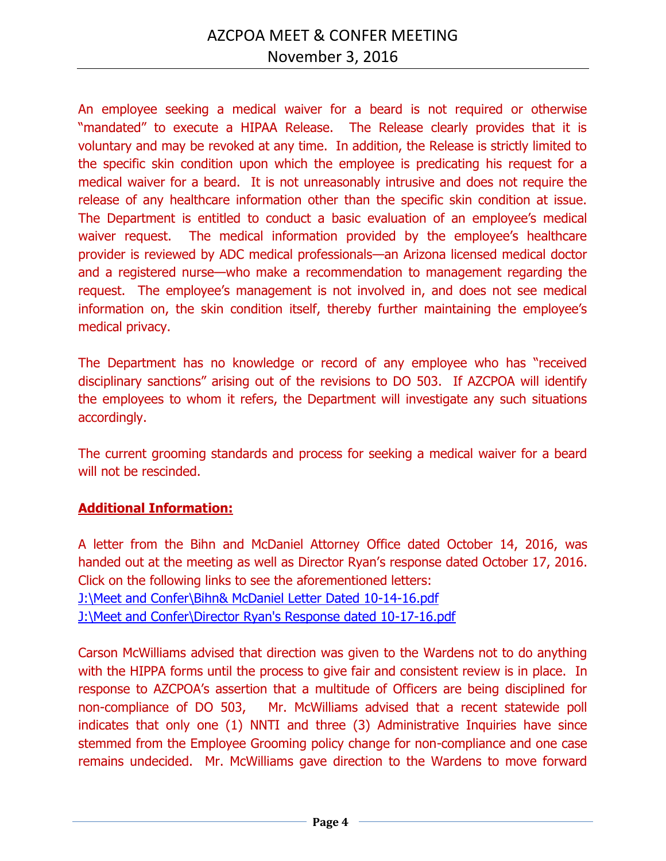An employee seeking a medical waiver for a beard is not required or otherwise "mandated" to execute a HIPAA Release. The Release clearly provides that it is voluntary and may be revoked at any time. In addition, the Release is strictly limited to the specific skin condition upon which the employee is predicating his request for a medical waiver for a beard. It is not unreasonably intrusive and does not require the release of any healthcare information other than the specific skin condition at issue. The Department is entitled to conduct a basic evaluation of an employee's medical waiver request. The medical information provided by the employee's healthcare provider is reviewed by ADC medical professionals—an Arizona licensed medical doctor and a registered nurse—who make a recommendation to management regarding the request. The employee's management is not involved in, and does not see medical information on, the skin condition itself, thereby further maintaining the employee's medical privacy.

The Department has no knowledge or record of any employee who has "received disciplinary sanctions" arising out of the revisions to DO 503. If AZCPOA will identify the employees to whom it refers, the Department will investigate any such situations accordingly.

The current grooming standards and process for seeking a medical waiver for a beard will not be rescinded.

## **Additional Information:**

A letter from the Bihn and McDaniel Attorney Office dated October 14, 2016, was handed out at the meeting as well as Director Ryan's response dated October 17, 2016. Click on the following links to see the aforementioned letters: [J:\Meet and Confer\Bihn& McDaniel Letter Dated 10-14-16.pdf](file://///CO-FILE03/SHARED/ADC_INFO/Meet%20and%20Confer/Bihn&%20McDaniel%20Letter%20Dated%2010-14-16.pdf) [J:\Meet and Confer\Director Ryan's Response dated 10-17-16.pdf](file://///CO-FILE03/SHARED/ADC_INFO/Meet%20and%20Confer/Director%20Ryan)

Carson McWilliams advised that direction was given to the Wardens not to do anything with the HIPPA forms until the process to give fair and consistent review is in place. In response to AZCPOA's assertion that a multitude of Officers are being disciplined for non-compliance of DO 503, Mr. McWilliams advised that a recent statewide poll indicates that only one (1) NNTI and three (3) Administrative Inquiries have since stemmed from the Employee Grooming policy change for non-compliance and one case remains undecided. Mr. McWilliams gave direction to the Wardens to move forward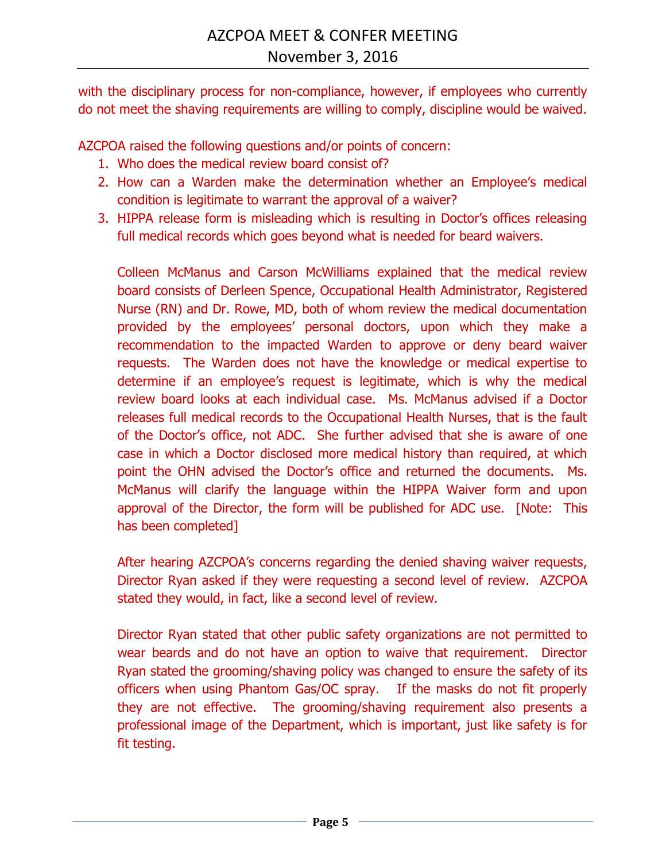with the disciplinary process for non-compliance, however, if employees who currently do not meet the shaving requirements are willing to comply, discipline would be waived.

AZCPOA raised the following questions and/or points of concern:

- 1. Who does the medical review board consist of?
- 2. How can a Warden make the determination whether an Employee's medical condition is legitimate to warrant the approval of a waiver?
- 3. HIPPA release form is misleading which is resulting in Doctor's offices releasing full medical records which goes beyond what is needed for beard waivers.

Colleen McManus and Carson McWilliams explained that the medical review board consists of Derleen Spence, Occupational Health Administrator, Registered Nurse (RN) and Dr. Rowe, MD, both of whom review the medical documentation provided by the employees' personal doctors, upon which they make a recommendation to the impacted Warden to approve or deny beard waiver requests. The Warden does not have the knowledge or medical expertise to determine if an employee's request is legitimate, which is why the medical review board looks at each individual case. Ms. McManus advised if a Doctor releases full medical records to the Occupational Health Nurses, that is the fault of the Doctor's office, not ADC. She further advised that she is aware of one case in which a Doctor disclosed more medical history than required, at which point the OHN advised the Doctor's office and returned the documents. Ms. McManus will clarify the language within the HIPPA Waiver form and upon approval of the Director, the form will be published for ADC use. [Note: This has been completed]

After hearing AZCPOA's concerns regarding the denied shaving waiver requests, Director Ryan asked if they were requesting a second level of review. AZCPOA stated they would, in fact, like a second level of review.

Director Ryan stated that other public safety organizations are not permitted to wear beards and do not have an option to waive that requirement. Director Ryan stated the grooming/shaving policy was changed to ensure the safety of its officers when using Phantom Gas/OC spray. If the masks do not fit properly they are not effective. The grooming/shaving requirement also presents a professional image of the Department, which is important, just like safety is for fit testing.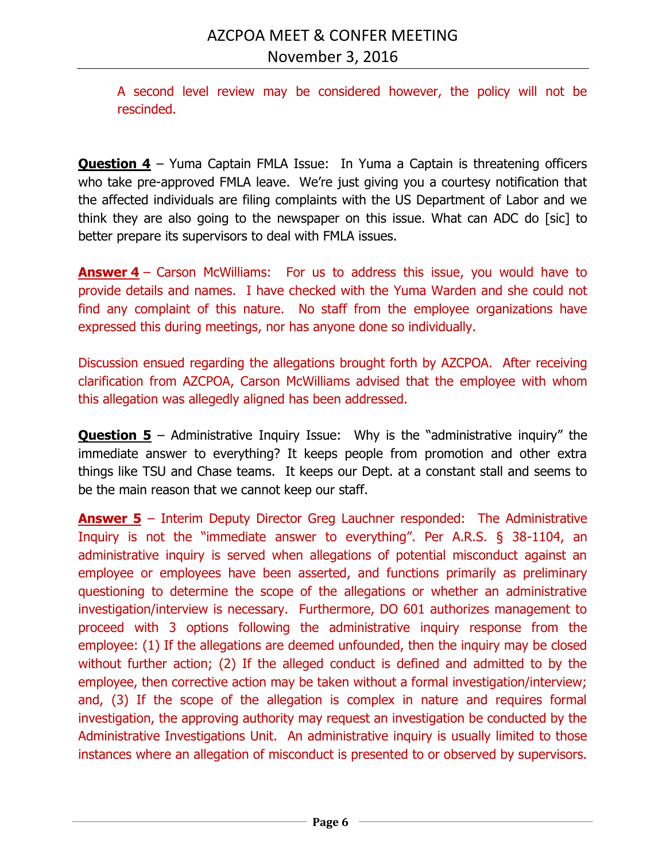A second level review may be considered however, the policy will not be rescinded.

**Question 4** – Yuma Captain FMLA Issue: In Yuma a Captain is threatening officers who take pre-approved FMLA leave. We're just giving you a courtesy notification that the affected individuals are filing complaints with the US Department of Labor and we think they are also going to the newspaper on this issue. What can ADC do [sic] to better prepare its supervisors to deal with FMLA issues.

**Answer 4** – Carson McWilliams: For us to address this issue, you would have to provide details and names. I have checked with the Yuma Warden and she could not find any complaint of this nature. No staff from the employee organizations have expressed this during meetings, nor has anyone done so individually.

Discussion ensued regarding the allegations brought forth by AZCPOA. After receiving clarification from AZCPOA, Carson McWilliams advised that the employee with whom this allegation was allegedly aligned has been addressed.

**Question 5** – Administrative Inquiry Issue: Why is the "administrative inquiry" the immediate answer to everything? It keeps people from promotion and other extra things like TSU and Chase teams. It keeps our Dept. at a constant stall and seems to be the main reason that we cannot keep our staff.

**Answer 5** – Interim Deputy Director Greg Lauchner responded: The Administrative Inquiry is not the "immediate answer to everything". Per A.R.S. § 38-1104, an administrative inquiry is served when allegations of potential misconduct against an employee or employees have been asserted, and functions primarily as preliminary questioning to determine the scope of the allegations or whether an administrative investigation/interview is necessary. Furthermore, DO 601 authorizes management to proceed with 3 options following the administrative inquiry response from the employee: (1) If the allegations are deemed unfounded, then the inquiry may be closed without further action; (2) If the alleged conduct is defined and admitted to by the employee, then corrective action may be taken without a formal investigation/interview; and, (3) If the scope of the allegation is complex in nature and requires formal investigation, the approving authority may request an investigation be conducted by the Administrative Investigations Unit. An administrative inquiry is usually limited to those instances where an allegation of misconduct is presented to or observed by supervisors.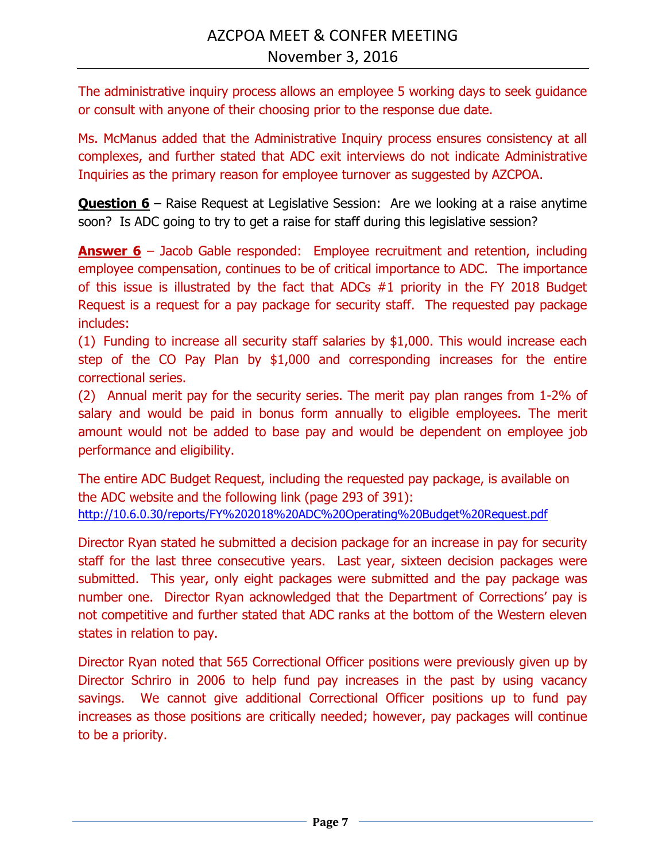The administrative inquiry process allows an employee 5 working days to seek guidance or consult with anyone of their choosing prior to the response due date.

Ms. McManus added that the Administrative Inquiry process ensures consistency at all complexes, and further stated that ADC exit interviews do not indicate Administrative Inquiries as the primary reason for employee turnover as suggested by AZCPOA.

**Question 6** – Raise Request at Legislative Session: Are we looking at a raise anytime soon? Is ADC going to try to get a raise for staff during this legislative session?

**Answer 6** – Jacob Gable responded: Employee recruitment and retention, including employee compensation, continues to be of critical importance to ADC. The importance of this issue is illustrated by the fact that ADCs #1 priority in the FY 2018 Budget Request is a request for a pay package for security staff. The requested pay package includes:

(1) Funding to increase all security staff salaries by \$1,000. This would increase each step of the CO Pay Plan by \$1,000 and corresponding increases for the entire correctional series.

(2) Annual merit pay for the security series. The merit pay plan ranges from 1-2% of salary and would be paid in bonus form annually to eligible employees. The merit amount would not be added to base pay and would be dependent on employee job performance and eligibility.

The entire ADC Budget Request, including the requested pay package, is available on the ADC website and the following link (page 293 of 391): <http://10.6.0.30/reports/FY%202018%20ADC%20Operating%20Budget%20Request.pdf>

Director Ryan stated he submitted a decision package for an increase in pay for security staff for the last three consecutive years. Last year, sixteen decision packages were submitted. This year, only eight packages were submitted and the pay package was number one. Director Ryan acknowledged that the Department of Corrections' pay is not competitive and further stated that ADC ranks at the bottom of the Western eleven states in relation to pay.

Director Ryan noted that 565 Correctional Officer positions were previously given up by Director Schriro in 2006 to help fund pay increases in the past by using vacancy savings. We cannot give additional Correctional Officer positions up to fund pay increases as those positions are critically needed; however, pay packages will continue to be a priority.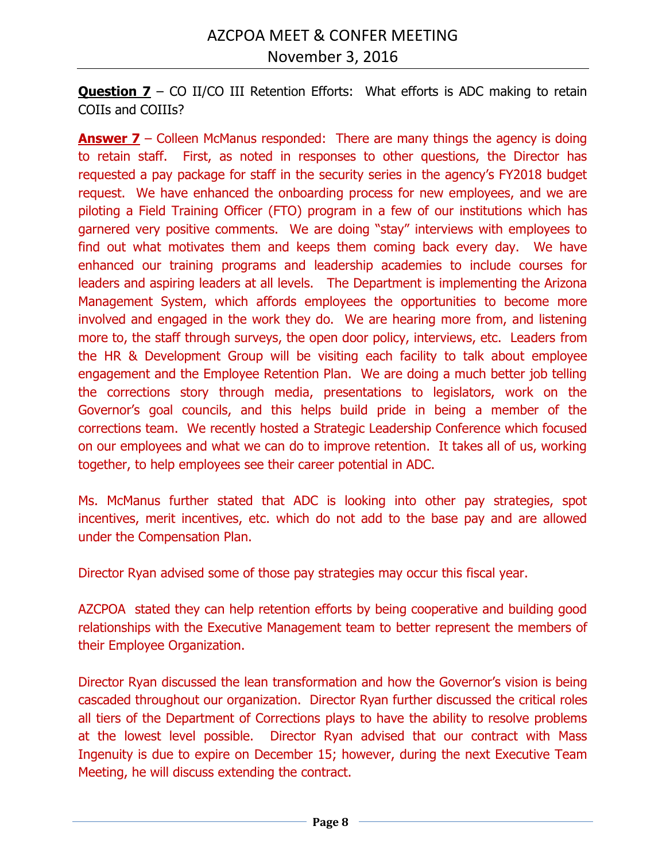**Question 7** – CO II/CO III Retention Efforts: What efforts is ADC making to retain COIIs and COIIIs?

**Answer 7** – Colleen McManus responded: There are many things the agency is doing to retain staff. First, as noted in responses to other questions, the Director has requested a pay package for staff in the security series in the agency's FY2018 budget request. We have enhanced the onboarding process for new employees, and we are piloting a Field Training Officer (FTO) program in a few of our institutions which has garnered very positive comments. We are doing "stay" interviews with employees to find out what motivates them and keeps them coming back every day. We have enhanced our training programs and leadership academies to include courses for leaders and aspiring leaders at all levels. The Department is implementing the Arizona Management System, which affords employees the opportunities to become more involved and engaged in the work they do. We are hearing more from, and listening more to, the staff through surveys, the open door policy, interviews, etc. Leaders from the HR & Development Group will be visiting each facility to talk about employee engagement and the Employee Retention Plan. We are doing a much better job telling the corrections story through media, presentations to legislators, work on the Governor's goal councils, and this helps build pride in being a member of the corrections team. We recently hosted a Strategic Leadership Conference which focused on our employees and what we can do to improve retention. It takes all of us, working together, to help employees see their career potential in ADC.

Ms. McManus further stated that ADC is looking into other pay strategies, spot incentives, merit incentives, etc. which do not add to the base pay and are allowed under the Compensation Plan.

Director Ryan advised some of those pay strategies may occur this fiscal year.

AZCPOA stated they can help retention efforts by being cooperative and building good relationships with the Executive Management team to better represent the members of their Employee Organization.

Director Ryan discussed the lean transformation and how the Governor's vision is being cascaded throughout our organization. Director Ryan further discussed the critical roles all tiers of the Department of Corrections plays to have the ability to resolve problems at the lowest level possible. Director Ryan advised that our contract with Mass Ingenuity is due to expire on December 15; however, during the next Executive Team Meeting, he will discuss extending the contract.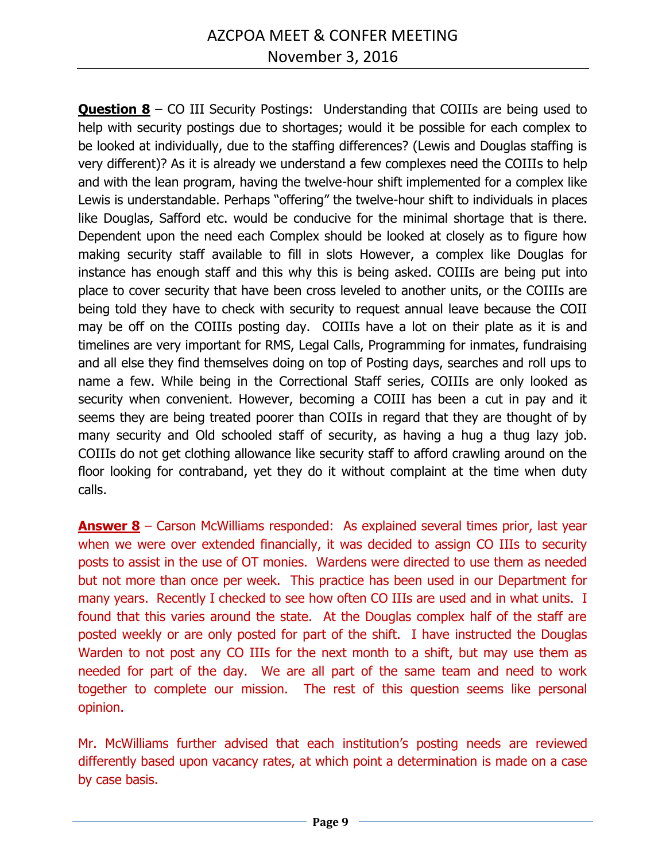**Question 8** – CO III Security Postings: Understanding that COIIIs are being used to help with security postings due to shortages; would it be possible for each complex to be looked at individually, due to the staffing differences? (Lewis and Douglas staffing is very different)? As it is already we understand a few complexes need the COIIIs to help and with the lean program, having the twelve-hour shift implemented for a complex like Lewis is understandable. Perhaps "offering" the twelve-hour shift to individuals in places like Douglas, Safford etc. would be conducive for the minimal shortage that is there. Dependent upon the need each Complex should be looked at closely as to figure how making security staff available to fill in slots However, a complex like Douglas for instance has enough staff and this why this is being asked. COIIIs are being put into place to cover security that have been cross leveled to another units, or the COIIIs are being told they have to check with security to request annual leave because the COII may be off on the COIIIs posting day. COIIIs have a lot on their plate as it is and timelines are very important for RMS, Legal Calls, Programming for inmates, fundraising and all else they find themselves doing on top of Posting days, searches and roll ups to name a few. While being in the Correctional Staff series, COIIIs are only looked as security when convenient. However, becoming a COIII has been a cut in pay and it seems they are being treated poorer than COIIs in regard that they are thought of by many security and Old schooled staff of security, as having a hug a thug lazy job. COIIIs do not get clothing allowance like security staff to afford crawling around on the floor looking for contraband, yet they do it without complaint at the time when duty calls.

**Answer 8** – Carson McWilliams responded: As explained several times prior, last year when we were over extended financially, it was decided to assign CO IIIs to security posts to assist in the use of OT monies. Wardens were directed to use them as needed but not more than once per week. This practice has been used in our Department for many years. Recently I checked to see how often CO IIIs are used and in what units. I found that this varies around the state. At the Douglas complex half of the staff are posted weekly or are only posted for part of the shift. I have instructed the Douglas Warden to not post any CO IIIs for the next month to a shift, but may use them as needed for part of the day. We are all part of the same team and need to work together to complete our mission. The rest of this question seems like personal opinion.

Mr. McWilliams further advised that each institution's posting needs are reviewed differently based upon vacancy rates, at which point a determination is made on a case by case basis.